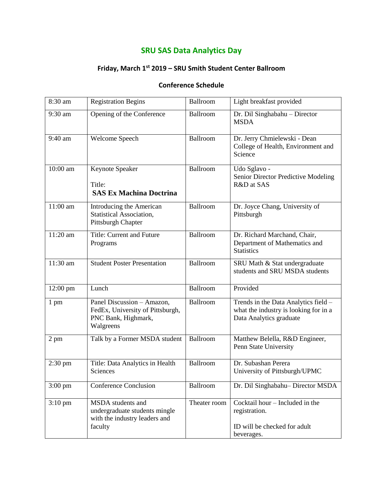## **SRU SAS Data Analytics Day**

#### **Friday, March 1st 2019 – SRU Smith Student Center Ballroom**

#### **Conference Schedule**

| 8:30 am           | <b>Registration Begins</b>                                                                         | Ballroom     | Light breakfast provided                                                                                 |
|-------------------|----------------------------------------------------------------------------------------------------|--------------|----------------------------------------------------------------------------------------------------------|
| 9:30 am           | Opening of the Conference                                                                          | Ballroom     | Dr. Dil Singhabahu - Director<br><b>MSDA</b>                                                             |
| 9:40 am           | Welcome Speech                                                                                     | Ballroom     | Dr. Jerry Chmielewski - Dean<br>College of Health, Environment and<br>Science                            |
| 10:00 am          | Keynote Speaker<br>Title:<br><b>SAS Ex Machina Doctrina</b>                                        | Ballroom     | Udo Sglavo -<br>Senior Director Predictive Modeling<br>R&D at SAS                                        |
| 11:00 am          | Introducing the American<br><b>Statistical Association,</b><br>Pittsburgh Chapter                  | Ballroom     | Dr. Joyce Chang, University of<br>Pittsburgh                                                             |
| $11:20$ am        | Title: Current and Future<br>Programs                                                              | Ballroom     | Dr. Richard Marchand, Chair,<br>Department of Mathematics and<br><b>Statistics</b>                       |
| 11:30 am          | <b>Student Poster Presentation</b>                                                                 | Ballroom     | SRU Math & Stat undergraduate<br>students and SRU MSDA students                                          |
| 12:00 pm          | Lunch                                                                                              | Ballroom     | Provided                                                                                                 |
| 1 pm              | Panel Discussion - Amazon,<br>FedEx, University of Pittsburgh,<br>PNC Bank, Highmark,<br>Walgreens | Ballroom     | Trends in the Data Analytics field -<br>what the industry is looking for in a<br>Data Analytics graduate |
| 2 pm              | Talk by a Former MSDA student                                                                      | Ballroom     | Matthew Belella, R&D Engineer,<br>Penn State University                                                  |
| $2:30 \text{ pm}$ | Title: Data Analytics in Health<br>Sciences                                                        | Ballroom     | Dr. Subashan Perera<br>University of Pittsburgh/UPMC                                                     |
| $3:00 \text{ pm}$ | <b>Conference Conclusion</b>                                                                       | Ballroom     | Dr. Dil Singhabahu-Director MSDA                                                                         |
| $3:10$ pm         | MSDA students and<br>undergraduate students mingle<br>with the industry leaders and<br>faculty     | Theater room | Cocktail hour - Included in the<br>registration.<br>ID will be checked for adult<br>beverages.           |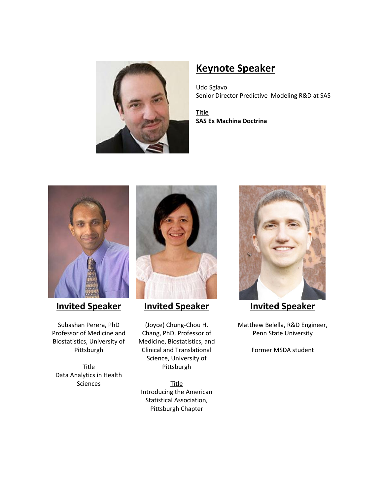

# **Keynote Speaker**

Udo Sglavo Senior Director Predictive Modeling R&D at SAS

**Title SAS Ex Machina Doctrina**



# **Invited Speaker**

Subashan Perera, PhD Professor of Medicine and Biostatistics, University of Pittsburgh

**Title** Data Analytics in Health Sciences



### **Invited Speaker**

(Joyce) Chung-Chou H. Chang, PhD, Professor of Medicine, Biostatistics, and Clinical and Translational Science, University of Pittsburgh

**Title** Introducing the American Statistical Association, Pittsburgh Chapter



### **Invited Speaker**

Matthew Belella, R&D Engineer, Penn State University

Former MSDA student